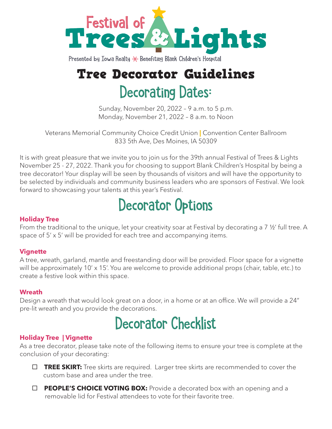

Presented by Iowa Realty  $\angle$  Benefiting Blank Children's Hospital

## Tree Decorator Guidelines Decorating Dates:

Sunday, November 20, 2022 – 9 a.m. to 5 p.m. Monday, November 21, 2022 – 8 a.m. to Noon

Veterans Memorial Community Choice Credit Union **|** Convention Center Ballroom 833 5th Ave, Des Moines, IA 50309

It is with great pleasure that we invite you to join us for the 39th annual Festival of Trees & Lights November 25 - 27, 2022. Thank you for choosing to support Blank Children's Hospital by being a tree decorator! Your display will be seen by thousands of visitors and will have the opportunity to be selected by individuals and community business leaders who are sponsors of Festival. We look forward to showcasing your talents at this year's Festival.

# Decorator Options

## **Holiday Tree**

From the traditional to the unique, let your creativity soar at Festival by decorating a 7 ½' full tree. A space of 5' x 5' will be provided for each tree and accompanying items.

### **Vignette**

A tree, wreath, garland, mantle and freestanding door will be provided. Floor space for a vignette will be approximately 10' x 15'. You are welcome to provide additional props (chair, table, etc.) to create a festive look within this space.

#### **Wreath**

Design a wreath that would look great on a door, in a home or at an office. We will provide a 24" pre-lit wreath and you provide the decorations.

## Decorator Checklist

### **Holiday Tree | Vignette**

As a tree decorator, please take note of the following items to ensure your tree is complete at the conclusion of your decorating:

- □ TREE SKIRT: Tree skirts are required. Larger tree skirts are recommended to cover the custom base and area under the tree.
- □ **PEOPLE'S CHOICE VOTING BOX:** Provide a decorated box with an opening and a removable lid for Festival attendees to vote for their favorite tree.